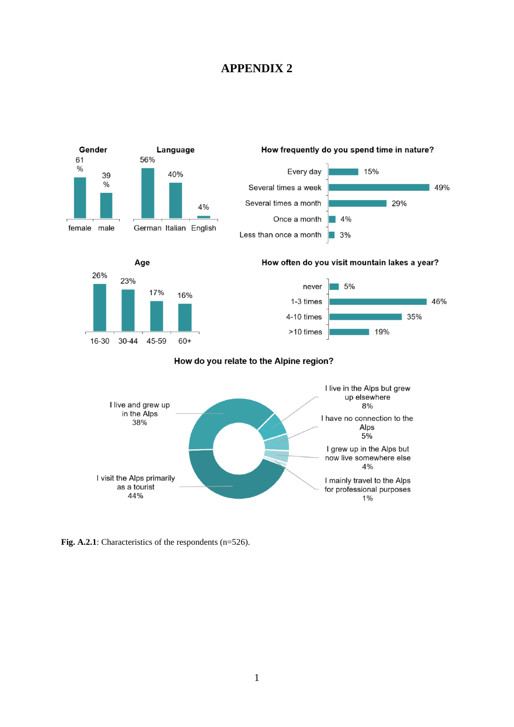## **APPENDIX 2**



Fig. A.2.1: Characteristics of the respondents (n=526).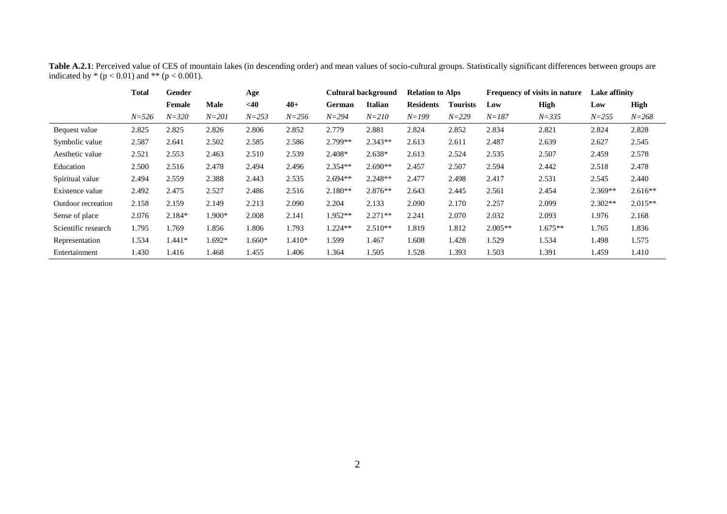|                     | Total     | Gender    |           | Age       |           | Cultural background |                | <b>Relation to Alps</b> |                 | Frequency of visits in nature |           | Lake affinity |           |
|---------------------|-----------|-----------|-----------|-----------|-----------|---------------------|----------------|-------------------------|-----------------|-------------------------------|-----------|---------------|-----------|
|                     |           | Female    | Male      | $<$ 40    | $40+$     | German              | <b>Italian</b> | <b>Residents</b>        | <b>Tourists</b> | Low                           | High      | Low           | High      |
|                     | $N = 526$ | $N = 320$ | $N = 201$ | $N = 253$ | $N = 256$ | $N = 294$           | $N = 210$      | $N = 199$               | $N = 229$       | $N = 187$                     | $N = 335$ | $N = 255$     | $N = 268$ |
| Bequest value       | 2.825     | 2.825     | 2.826     | 2.806     | 2.852     | 2.779               | 2.881          | 2.824                   | 2.852           | 2.834                         | 2.821     | 2.824         | 2.828     |
| Symbolic value      | 2.587     | 2.641     | 2.502     | 2.585     | 2.586     | $2.799**$           | 2.343**        | 2.613                   | 2.611           | 2.487                         | 2.639     | 2.627         | 2.545     |
| Aesthetic value     | 2.521     | 2.553     | 2.463     | 2.510     | 2.539     | $2.408*$            | $2.638*$       | 2.613                   | 2.524           | 2.535                         | 2.507     | 2.459         | 2.578     |
| Education           | 2.500     | 2.516     | 2.478     | 2.494     | 2.496     | $2.354**$           | $2.690**$      | 2.457                   | 2.507           | 2.594                         | 2.442     | 2.518         | 2.478     |
| Spiritual value     | 2.494     | 2.559     | 2.388     | 2.443     | 2.535     | $2.694**$           | $2.248**$      | 2.477                   | 2.498           | 2.417                         | 2.531     | 2.545         | 2.440     |
| Existence value     | 2.492     | 2.475     | 2.527     | 2.486     | 2.516     | $2.180**$           | $2.876**$      | 2.643                   | 2.445           | 2.561                         | 2.454     | $2.369**$     | $2.616**$ |
| Outdoor recreation  | 2.158     | 2.159     | 2.149     | 2.213     | 2.090     | 2.204               | 2.133          | 2.090                   | 2.170           | 2.257                         | 2.099     | $2.302**$     | $2.015**$ |
| Sense of place      | 2.076     | 2.184*    | 1.900*    | 2.008     | 2.141     | 1.952**             | $2.271**$      | 2.241                   | 2.070           | 2.032                         | 2.093     | 1.976         | 2.168     |
| Scientific research | 1.795     | l.769     | 1.856     | 1.806     | 1.793     | $1.224**$           | $2.510**$      | 1.819                   | 1.812           | $2.005**$                     | $1.675**$ | 1.765         | 1.836     |
| Representation      | 1.534     | $1.441*$  | 1.692*    | 1.660*    | $1.410*$  | 1.599               | 1.467          | 1.608                   | 1.428           | 1.529                         | 1.534     | 1.498         | 1.575     |
| Entertainment       | 1.430     | 1.416     | 1.468     | 1.455     | 1.406     | 1.364               | 1.505          | 1.528                   | 1.393           | 1.503                         | 1.391     | 1.459         | 1.410     |

**Table A.2.1**: Perceived value of CES of mountain lakes (in descending order) and mean values of socio-cultural groups. Statistically significant differences between groups are indicated by  $*(p < 0.01)$  and  $** (p < 0.001)$ .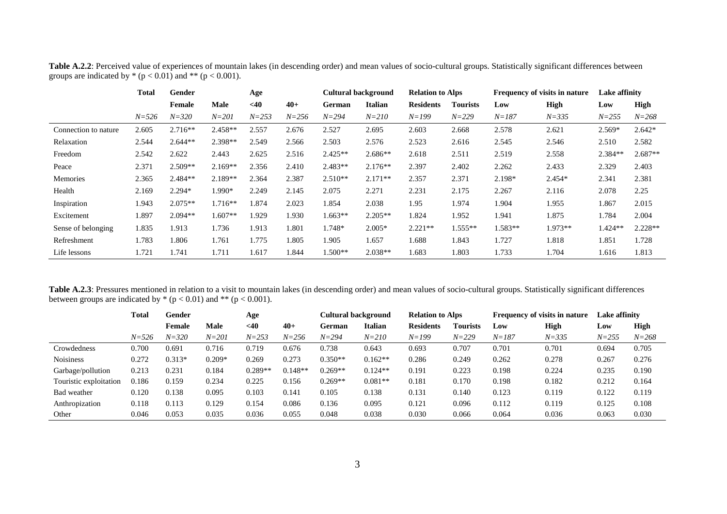|                      | Total     | Gender    |             | Age       |           | <b>Cultural background</b> |           | <b>Relation to Alps</b> |           | Frequency of visits in nature |           | Lake affinity |             |
|----------------------|-----------|-----------|-------------|-----------|-----------|----------------------------|-----------|-------------------------|-----------|-------------------------------|-----------|---------------|-------------|
|                      |           | Female    | <b>Male</b> | $<$ 40    | $40+$     | German                     | Italian   | <b>Residents</b>        | Tourists  | Low                           | High      | Low           | <b>High</b> |
|                      | $N = 526$ | $N = 320$ | $N = 201$   | $N = 253$ | $N = 256$ | $N = 294$                  | $N = 210$ | $N = 199$               | $N = 229$ | $N = 187$                     | $N = 335$ | $N = 255$     | $N = 268$   |
| Connection to nature | 2.605     | $2.716**$ | 2.458**     | 2.557     | 2.676     | 2.527                      | 2.695     | 2.603                   | 2.668     | 2.578                         | 2.621     | $2.569*$      | $2.642*$    |
| Relaxation           | 2.544     | $2.644**$ | 2.398**     | 2.549     | 2.566     | 2.503                      | 2.576     | 2.523                   | 2.616     | 2.545                         | 2.546     | 2.510         | 2.582       |
| Freedom              | 2.542     | 2.622     | 2.443       | 2.625     | 2.516     | $2.425**$                  | $2.686**$ | 2.618                   | 2.511     | 2.519                         | 2.558     | $2.384**$     | $2.687**$   |
| Peace                | 2.371     | $2.509**$ | $2.169**$   | 2.356     | 2.410     | $2.483**$                  | $2.176**$ | 2.397                   | 2.402     | 2.262                         | 2.433     | 2.329         | 2.403       |
| <b>Memories</b>      | 2.365     | $2.484**$ | $2.189**$   | 2.364     | 2.387     | $2.510**$                  | $2.171**$ | 2.357                   | 2.371     | 2.198*                        | 2.454*    | 2.341         | 2.381       |
| Health               | 2.169     | $2.294*$  | 1.990*      | 2.249     | 2.145     | 2.075                      | 2.271     | 2.231                   | 2.175     | 2.267                         | 2.116     | 2.078         | 2.25        |
| Inspiration          | 1.943     | $2.075**$ | $1.716**$   | 1.874     | 2.023     | 1.854                      | 2.038     | 1.95                    | 1.974     | 1.904                         | 1.955     | 1.867         | 2.015       |
| Excitement           | 1.897     | $2.094**$ | $1.607**$   | 1.929     | 1.930     | $1.663**$                  | $2.205**$ | 1.824                   | 1.952     | 1.941                         | 1.875     | 1.784         | 2.004       |
| Sense of belonging   | 1.835     | 1.913     | 1.736       | 1.913     | 1.801     | 1.748*                     | $2.005*$  | $2.221**$               | $1.555**$ | 1.583**                       | $1.973**$ | 1.424**       | $2.228**$   |
| Refreshment          | 1.783     | 1.806     | 1.761       | 1.775     | 1.805     | 1.905                      | 1.657     | 1.688                   | 1.843     | 1.727                         | 1.818     | 1.851         | 1.728       |
| Life lessons         | 1.721     | 1.741     | 1.711       | 1.617     | 1.844     | $1.500**$                  | $2.038**$ | 1.683                   | 1.803     | 1.733                         | 1.704     | 1.616         | 1.813       |

**Table A.2.2**: Perceived value of experiences of mountain lakes (in descending order) and mean values of socio-cultural groups. Statistically significant differences between groups are indicated by  $*(p < 0.01)$  and  $** (p < 0.001)$ .

Table A.2.3: Pressures mentioned in relation to a visit to mountain lakes (in descending order) and mean values of socio-cultural groups. Statistically significant differences between groups are indicated by  $*(p < 0.01)$  and  $**$  ( $p < 0.001$ ).

|                        | Total     | Gender    |           | Age       |           | Cultural background |                | <b>Relation to Alps</b> |                 | Frequency of visits in nature |           | Lake affinity |           |
|------------------------|-----------|-----------|-----------|-----------|-----------|---------------------|----------------|-------------------------|-----------------|-------------------------------|-----------|---------------|-----------|
|                        |           | Female    | Male      | $<$ 40    | $40+$     | German              | <b>Italian</b> | <b>Residents</b>        | <b>Tourists</b> | Low                           | High      | Low           | High      |
|                        | $N = 526$ | $N = 320$ | $N = 201$ | $N = 253$ | $N = 256$ | $N = 294$           | $N = 210$      | $N = 199$               | $N = 229$       | $N = 187$                     | $N = 335$ | $N = 255$     | $N = 268$ |
| Crowdedness            | 0.700     | 0.691     | 0.716     | 0.719     | 0.676     | 0.738               | 0.643          | 0.693                   | 0.707           | 0.701                         | 0.701     | 0.694         | 0.705     |
| <b>Noisiness</b>       | 0.272     | $0.313*$  | $0.209*$  | 0.269     | 0.273     | $0.350**$           | $0.162**$      | 0.286                   | 0.249           | 0.262                         | 0.278     | 0.267         | 0.276     |
| Garbage/pollution      | 0.213     | 0.231     | 0.184     | $0.289**$ | $0.148**$ | $0.269**$           | $0.124**$      | 0.191                   | 0.223           | 0.198                         | 0.224     | 0.235         | 0.190     |
| Touristic exploitation | 0.186     | 0.159     | 0.234     | 0.225     | 0.156     | $0.269**$           | $0.081**$      | 0.181                   | 0.170           | 0.198                         | 0.182     | 0.212         | 0.164     |
| Bad weather            | 0.120     | 0.138     | 0.095     | 0.103     | 0.141     | 0.105               | 0.138          | 0.131                   | 0.140           | 0.123                         | 0.119     | 0.122         | 0.119     |
| Anthropization         | 0.118     | 0.113     | 0.129     | 0.154     | 0.086     | 0.136               | 0.095          | 0.121                   | 0.096           | 0.112                         | 0.119     | 0.125         | 0.108     |
| Other                  | 0.046     | 0.053     | 0.035     | 0.036     | 0.055     | 0.048               | 0.038          | 0.030                   | 0.066           | 0.064                         | 0.036     | 0.063         | 0.030     |